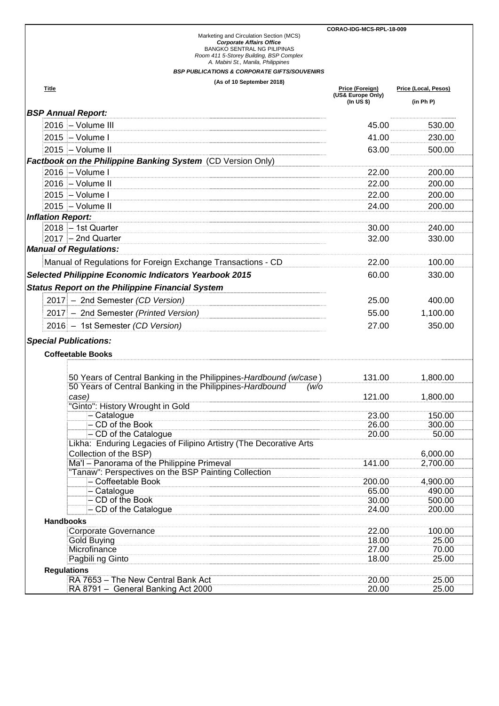|                                                                                                                                                             |      |                                 | CORAO-IDG-MCS-RPL-18-009 |  |  |
|-------------------------------------------------------------------------------------------------------------------------------------------------------------|------|---------------------------------|--------------------------|--|--|
| Marketing and Circulation Section (MCS)<br><b>Corporate Affairs Office</b><br><b>BANGKO SENTRAL NG PILIPINAS</b><br>Room 411 5-Storey Building, BSP Complex |      |                                 |                          |  |  |
| A. Mabini St., Manila, Philippines                                                                                                                          |      |                                 |                          |  |  |
| <b>BSP PUBLICATIONS &amp; CORPORATE GIFTS/SOUVENIRS</b>                                                                                                     |      |                                 |                          |  |  |
| (As of 10 September 2018)<br>Title                                                                                                                          |      | Price (Foreign)                 | Price (Local, Pesos)     |  |  |
|                                                                                                                                                             |      | (US& Europe Only)<br>(In US \$) | (in Ph P)                |  |  |
| <b>BSP Annual Report:</b>                                                                                                                                   |      |                                 |                          |  |  |
| 2016 - Volume III                                                                                                                                           |      | 45.00                           | 530.00                   |  |  |
|                                                                                                                                                             |      |                                 |                          |  |  |
| 2015 - Volume I                                                                                                                                             |      | 41.00                           | 230.00                   |  |  |
| 2015 - Volume II                                                                                                                                            |      | 63.00                           | 500.00                   |  |  |
| Factbook on the Philippine Banking System (CD Version Only)                                                                                                 |      |                                 |                          |  |  |
| 2016 - Volume I                                                                                                                                             |      | 22.00                           | 200.00                   |  |  |
| 2016 - Volume II                                                                                                                                            |      | 22.00                           | 200.00                   |  |  |
| 2015 - Volume I                                                                                                                                             |      | 22.00                           | 200.00                   |  |  |
| 2015 - Volume II                                                                                                                                            |      | 24.00                           | 200.00                   |  |  |
| <b>Inflation Report:</b>                                                                                                                                    |      |                                 |                          |  |  |
| 2018 - 1st Quarter                                                                                                                                          |      | 30.00                           | 240.00                   |  |  |
| $2017 - 2nd$ Quarter                                                                                                                                        |      | 32.00                           | 330.00                   |  |  |
| <b>Manual of Regulations:</b>                                                                                                                               |      |                                 |                          |  |  |
| Manual of Regulations for Foreign Exchange Transactions - CD                                                                                                |      | 22.00                           | 100.00                   |  |  |
| <b>Selected Philippine Economic Indicators Yearbook 2015</b>                                                                                                |      | 60.00                           | 330.00                   |  |  |
| <b>Status Report on the Philippine Financial System</b>                                                                                                     |      |                                 |                          |  |  |
| 2017 - 2nd Semester (CD Version)                                                                                                                            |      | 25.00                           | 400.00                   |  |  |
| 2017 - 2nd Semester (Printed Version)                                                                                                                       |      | 55.00                           | 1,100.00                 |  |  |
|                                                                                                                                                             |      |                                 |                          |  |  |
| 2016 - 1st Semester (CD Version)                                                                                                                            |      | 27.00                           | 350.00                   |  |  |
| <b>Special Publications:</b>                                                                                                                                |      |                                 |                          |  |  |
| <b>Coffeetable Books</b>                                                                                                                                    |      |                                 |                          |  |  |
|                                                                                                                                                             |      |                                 |                          |  |  |
| 50 Years of Central Banking in the Philippines-Hardbound (w/case)                                                                                           |      | 131.00                          | 1,800.00                 |  |  |
| 50 Years of Central Banking in the Philippines-Hardbound                                                                                                    | (w/o |                                 |                          |  |  |
| case)                                                                                                                                                       |      | 121.00                          | 1,800.00                 |  |  |
| "Ginto": History Wrought in Gold                                                                                                                            |      |                                 |                          |  |  |
| $-$ Catalogue<br>- CD of the Book                                                                                                                           |      | 23.00<br>26.00                  | 150.00<br>300.00         |  |  |
| - CD of the Catalogue                                                                                                                                       |      | 20.00                           | 50.00                    |  |  |
| Likha: Enduring Legacies of Filipino Artistry (The Decorative Arts                                                                                          |      |                                 |                          |  |  |
| Collection of the BSP)                                                                                                                                      |      |                                 | 6,000.00                 |  |  |
| Ma'l - Panorama of the Philippine Primeval                                                                                                                  |      | 141.00                          | 2,700.00                 |  |  |
| "Tanaw": Perspectives on the BSP Painting Collection                                                                                                        |      |                                 |                          |  |  |
| - Coffeetable Book                                                                                                                                          |      | 200.00<br>65.00                 | 4,900.00<br>490.00       |  |  |
| - Catalogue<br>- CD of the Book                                                                                                                             |      | 30.00                           | 500.00                   |  |  |
| - CD of the Catalogue                                                                                                                                       |      | 24.00                           | 200.00                   |  |  |
| <b>Handbooks</b>                                                                                                                                            |      |                                 |                          |  |  |
| <b>Corporate Governance</b>                                                                                                                                 |      | 22.00                           | 100.00                   |  |  |
| <b>Gold Buying</b>                                                                                                                                          |      | 18.00                           | 25.00                    |  |  |
| Microfinance                                                                                                                                                |      | 27.00                           | 70.00                    |  |  |
| Pagbili ng Ginto                                                                                                                                            |      | 18.00                           | 25.00                    |  |  |
| <b>Regulations</b>                                                                                                                                          |      |                                 |                          |  |  |
| RA 7653 - The New Central Bank Act<br>RA 8791 - General Banking Act 2000                                                                                    |      | 20.00<br>20.00                  | 25.00<br>25.00           |  |  |
|                                                                                                                                                             |      |                                 |                          |  |  |